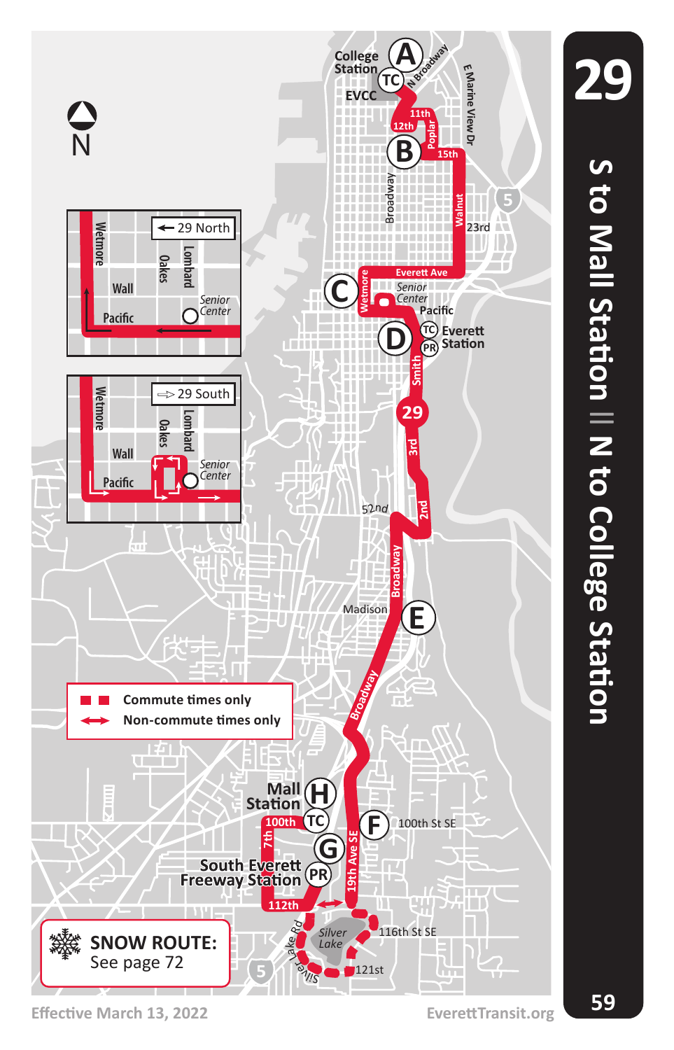

**Effective March 13, 2022 EverettTransit.org**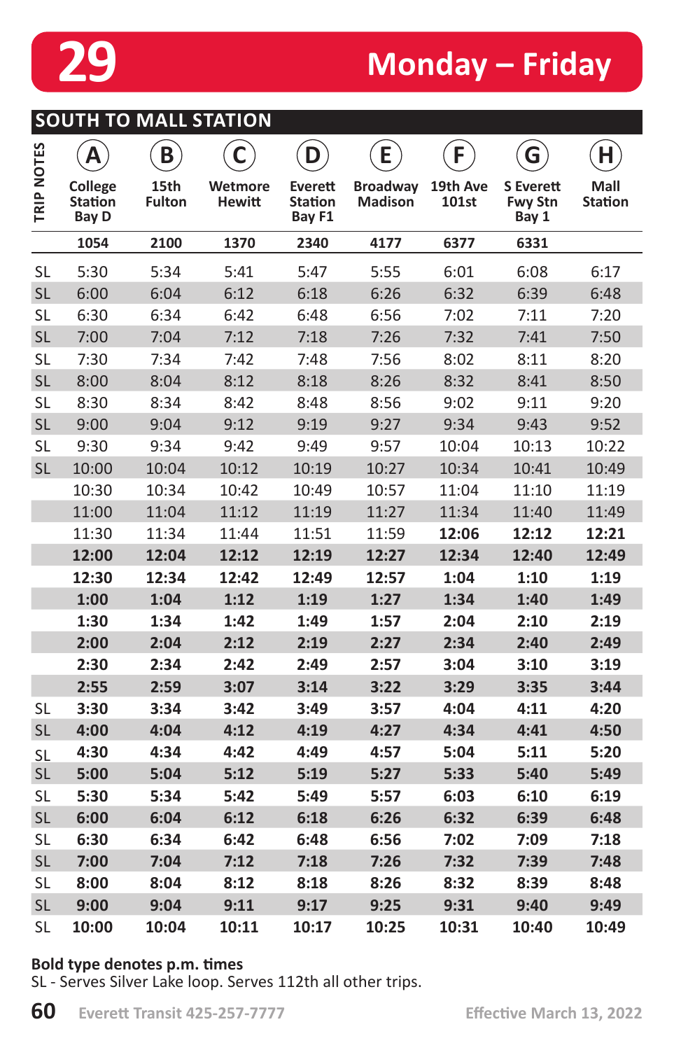

**SOUTH TO MALL STATION**

# **29 Monday – Friday**

|            | Α                                         | B                     |                          | D                                   | E                                 | F                 | G                                           | Н                      |
|------------|-------------------------------------------|-----------------------|--------------------------|-------------------------------------|-----------------------------------|-------------------|---------------------------------------------|------------------------|
| TRIP NOTES | <b>College</b><br><b>Station</b><br>Bay D | 15th<br><b>Fulton</b> | Wetmore<br><b>Hewitt</b> | Everett<br><b>Station</b><br>Bay F1 | <b>Broadway</b><br><b>Madison</b> | 19th Ave<br>101st | <b>S</b> Everett<br><b>Fwy Stn</b><br>Bay 1 | Mall<br><b>Station</b> |
|            | 1054                                      | 2100                  | 1370                     | 2340                                | 4177                              | 6377              | 6331                                        |                        |
| <b>SL</b>  | 5:30                                      | 5:34                  | 5:41                     | 5:47                                | 5:55                              | 6:01              | 6:08                                        | 6:17                   |
| <b>SL</b>  | 6:00                                      | 6:04                  | 6:12                     | 6:18                                | 6:26                              | 6:32              | 6:39                                        | 6:48                   |
| <b>SL</b>  | 6:30                                      | 6:34                  | 6:42                     | 6:48                                | 6:56                              | 7:02              | 7:11                                        | 7:20                   |
| <b>SL</b>  | 7:00                                      | 7:04                  | 7:12                     | 7:18                                | 7:26                              | 7:32              | 7:41                                        | 7:50                   |
| <b>SL</b>  | 7:30                                      | 7:34                  | 7:42                     | 7:48                                | 7:56                              | 8:02              | 8:11                                        | 8:20                   |
| <b>SL</b>  | 8:00                                      | 8:04                  | 8:12                     | 8:18                                | 8:26                              | 8:32              | 8:41                                        | 8:50                   |
| <b>SL</b>  | 8:30                                      | 8:34                  | 8:42                     | 8:48                                | 8:56                              | 9:02              | 9:11                                        | 9:20                   |
| <b>SL</b>  | 9:00                                      | 9:04                  | 9:12                     | 9:19                                | 9:27                              | 9:34              | 9:43                                        | 9:52                   |
| <b>SL</b>  | 9:30                                      | 9:34                  | 9:42                     | 9:49                                | 9:57                              | 10:04             | 10:13                                       | 10:22                  |
| <b>SL</b>  | 10:00                                     | 10:04                 | 10:12                    | 10:19                               | 10:27                             | 10:34             | 10:41                                       | 10:49                  |
|            | 10:30                                     | 10:34                 | 10:42                    | 10:49                               | 10:57                             | 11:04             | 11:10                                       | 11:19                  |
|            | 11:00                                     | 11:04                 | 11:12                    | 11:19                               | 11:27                             | 11:34             | 11:40                                       | 11:49                  |
|            | 11:30                                     | 11:34                 | 11:44                    | 11:51                               | 11:59                             | 12:06             | 12:12                                       | 12:21                  |
|            | 12:00                                     | 12:04                 | 12:12                    | 12:19                               | 12:27                             | 12:34             | 12:40                                       | 12:49                  |
|            | 12:30                                     | 12:34                 | 12:42                    | 12:49                               | 12:57                             | 1:04              | 1:10                                        | 1:19                   |
|            | 1:00                                      | 1:04                  | 1:12                     | 1:19                                | 1:27                              | 1:34              | 1:40                                        | 1:49                   |
|            | 1:30                                      | 1:34                  | 1:42                     | 1:49                                | 1:57                              | 2:04              | 2:10                                        | 2:19                   |
|            | 2:00                                      | 2:04                  | 2:12                     | 2:19                                | 2:27                              | 2:34              | 2:40                                        | 2:49                   |
|            | 2:30                                      | 2:34                  | 2:42                     | 2:49                                | 2:57                              | 3:04              | 3:10                                        | 3:19                   |
|            | 2:55                                      | 2:59                  | 3:07                     | 3:14                                | 3:22                              | 3:29              | 3:35                                        | 3:44                   |
| <b>SL</b>  | 3:30                                      | 3:34                  | 3:42                     | 3:49                                | 3:57                              | 4:04              | 4:11                                        | 4:20                   |
| <b>SL</b>  | 4:00                                      | 4:04                  | 4:12                     | 4:19                                | 4:27                              | 4:34              | 4:41                                        | 4:50                   |
| <b>SL</b>  | 4:30                                      | 4:34                  | 4:42                     | 4:49                                | 4:57                              | 5:04              | 5:11                                        | 5:20                   |
| <b>SL</b>  | 5:00                                      | 5:04                  | 5:12                     | 5:19                                | 5:27                              | 5:33              | 5:40                                        | 5:49                   |
| <b>SL</b>  | 5:30                                      | 5:34                  | 5:42                     | 5:49                                | 5:57                              | 6:03              | 6:10                                        | 6:19                   |
| <b>SL</b>  | 6:00                                      | 6:04                  | 6:12                     | 6:18                                | 6:26                              | 6:32              | 6:39                                        | 6:48                   |
| <b>SL</b>  | 6:30                                      | 6:34                  | 6:42                     | 6:48                                | 6:56                              | 7:02              | 7:09                                        | 7:18                   |
| <b>SL</b>  | 7:00                                      | 7:04                  | 7:12                     | 7:18                                | 7:26                              | 7:32              | 7:39                                        | 7:48                   |
| <b>SL</b>  | 8:00                                      | 8:04                  | 8:12                     | 8:18                                | 8:26                              | 8:32              | 8:39                                        | 8:48                   |
| <b>SL</b>  | 9:00                                      | 9:04                  | 9:11                     | 9:17                                | 9:25                              | 9:31              | 9:40                                        | 9:49                   |
| <b>SL</b>  | 10:00                                     | 10:04                 | 10:11                    | 10:17                               | 10:25                             | 10:31             | 10:40                                       | 10:49                  |

#### **Bold type denotes p.m. times**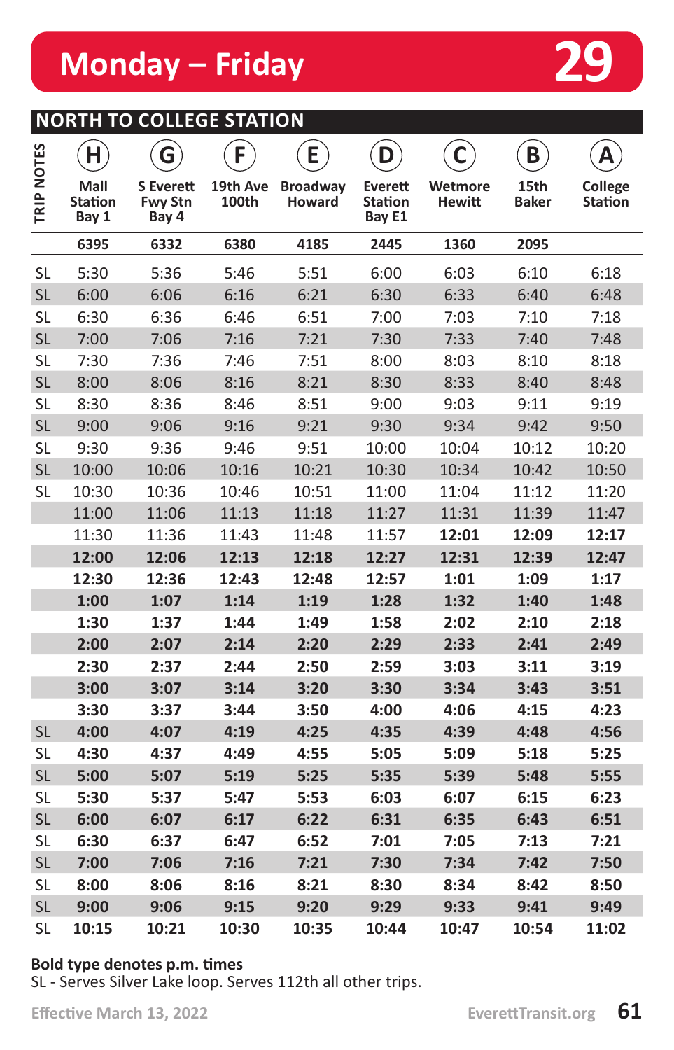### **NORTH TO COLLEGE STATION**

|            | H                               | G                                           | F.                | E                                | D                                   | C                        | B                    | Α                  |
|------------|---------------------------------|---------------------------------------------|-------------------|----------------------------------|-------------------------------------|--------------------------|----------------------|--------------------|
| TRIP NOTES | Mall<br><b>Station</b><br>Bay 1 | <b>S</b> Everett<br><b>Fwy Stn</b><br>Bay 4 | 19th Ave<br>100th | <b>Broadway</b><br><b>Howard</b> | Everett<br><b>Station</b><br>Bay E1 | Wetmore<br><b>Hewitt</b> | 15th<br><b>Baker</b> | College<br>Station |
|            | 6395                            | 6332                                        | 6380              | 4185                             | 2445                                | 1360                     | 2095                 |                    |
| <b>SL</b>  | 5:30                            | 5:36                                        | 5:46              | 5:51                             | 6:00                                | 6:03                     | 6:10                 | 6:18               |
| <b>SL</b>  | 6:00                            | 6:06                                        | 6:16              | 6:21                             | 6:30                                | 6:33                     | 6:40                 | 6:48               |
| <b>SL</b>  | 6:30                            | 6:36                                        | 6:46              | 6:51                             | 7:00                                | 7:03                     | 7:10                 | 7:18               |
| <b>SL</b>  | 7:00                            | 7:06                                        | 7:16              | 7:21                             | 7:30                                | 7:33                     | 7:40                 | 7:48               |
| <b>SL</b>  | 7:30                            | 7:36                                        | 7:46              | 7:51                             | 8:00                                | 8:03                     | 8:10                 | 8:18               |
| <b>SL</b>  | 8:00                            | 8:06                                        | 8:16              | 8:21                             | 8:30                                | 8:33                     | 8:40                 | 8:48               |
| <b>SL</b>  | 8:30                            | 8:36                                        | 8:46              | 8:51                             | 9:00                                | 9:03                     | 9:11                 | 9:19               |
| <b>SL</b>  | 9:00                            | 9:06                                        | 9:16              | 9:21                             | 9:30                                | 9:34                     | 9:42                 | 9:50               |
| <b>SL</b>  | 9:30                            | 9:36                                        | 9:46              | 9:51                             | 10:00                               | 10:04                    | 10:12                | 10:20              |
| <b>SL</b>  | 10:00                           | 10:06                                       | 10:16             | 10:21                            | 10:30                               | 10:34                    | 10:42                | 10:50              |
| <b>SL</b>  | 10:30                           | 10:36                                       | 10:46             | 10:51                            | 11:00                               | 11:04                    | 11:12                | 11:20              |
|            | 11:00                           | 11:06                                       | 11:13             | 11:18                            | 11:27                               | 11:31                    | 11:39                | 11:47              |
|            | 11:30                           | 11:36                                       | 11:43             | 11:48                            | 11:57                               | 12:01                    | 12:09                | 12:17              |
|            | 12:00                           | 12:06                                       | 12:13             | 12:18                            | 12:27                               | 12:31                    | 12:39                | 12:47              |
|            | 12:30                           | 12:36                                       | 12:43             | 12:48                            | 12:57                               | 1:01                     | 1:09                 | 1:17               |
|            | 1:00                            | 1:07                                        | 1:14              | 1:19                             | 1:28                                | 1:32                     | 1:40                 | 1:48               |
|            | 1:30                            | 1:37                                        | 1:44              | 1:49                             | 1:58                                | 2:02                     | 2:10                 | 2:18               |
|            | 2:00                            | 2:07                                        | 2:14              | 2:20                             | 2:29                                | 2:33                     | 2:41                 | 2:49               |
|            | 2:30                            | 2:37                                        | 2:44              | 2:50                             | 2:59                                | 3:03                     | 3:11                 | 3:19               |
|            | 3:00                            | 3:07                                        | 3:14              | 3:20                             | 3:30                                | 3:34                     | 3:43                 | 3:51               |
|            | 3:30                            | 3:37                                        | 3:44              | 3:50                             | 4:00                                | 4:06                     | 4:15                 | 4:23               |
| <b>SL</b>  | 4:00                            | 4:07                                        | 4:19              | 4:25                             | 4:35                                | 4:39                     | 4:48                 | 4:56               |
| <b>SL</b>  | 4:30                            | 4:37                                        | 4:49              | 4:55                             | 5:05                                | 5:09                     | 5:18                 | 5:25               |
| <b>SL</b>  | 5:00                            | 5:07                                        | 5:19              | 5:25                             | 5:35                                | 5:39                     | 5:48                 | 5:55               |
| <b>SL</b>  | 5:30                            | 5:37                                        | 5:47              | 5:53                             | 6:03                                | 6:07                     | 6:15                 | 6:23               |
| <b>SL</b>  | 6:00                            | 6:07                                        | 6:17              | 6:22                             | 6:31                                | 6:35                     | 6:43                 | 6:51               |
| <b>SL</b>  | 6:30                            | 6:37                                        | 6:47              | 6:52                             | 7:01                                | 7:05                     | 7:13                 | 7:21               |
| <b>SL</b>  | 7:00                            | 7:06                                        | 7:16              | 7:21                             | 7:30                                | 7:34                     | 7:42                 | 7:50               |
| <b>SL</b>  | 8:00                            | 8:06                                        | 8:16              | 8:21                             | 8:30                                | 8:34                     | 8:42                 | 8:50               |
| <b>SL</b>  | 9:00                            | 9:06                                        | 9:15              | 9:20                             | 9:29                                | 9:33                     | 9:41                 | 9:49               |
| <b>SL</b>  | 10:15                           | 10:21                                       | 10:30             | 10:35                            | 10:44                               | 10:47                    | 10:54                | 11:02              |

#### **Bold type denotes p.m. times**

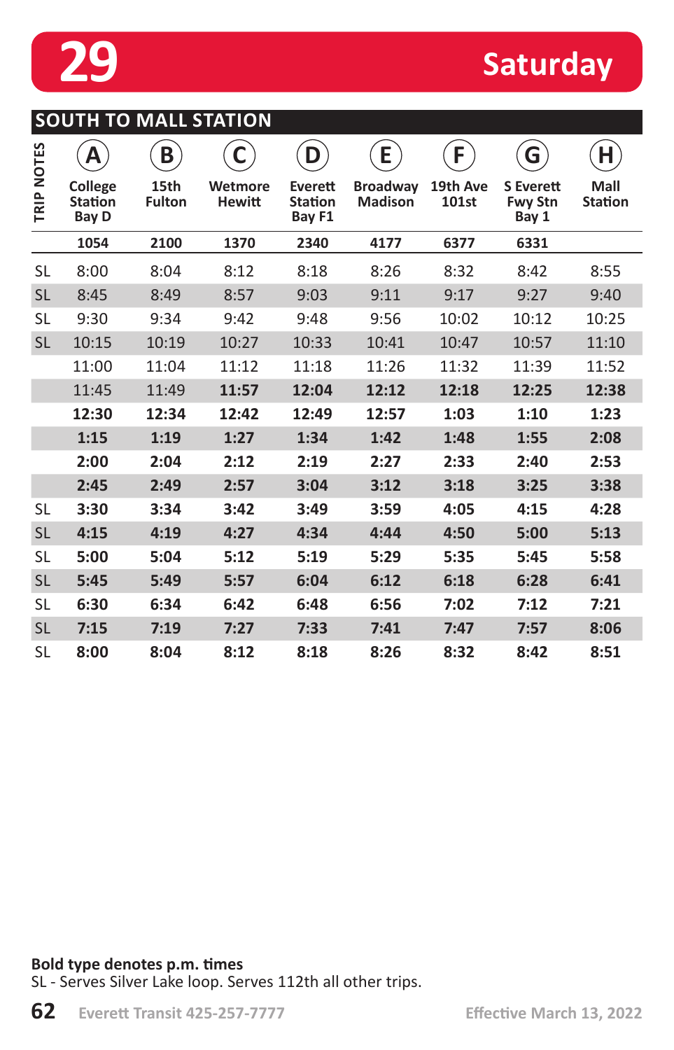

# **29** Saturday

|            | Α                                         | B                     | C                        | D                                   | E                                 | F                 | G                                           | Н                      |
|------------|-------------------------------------------|-----------------------|--------------------------|-------------------------------------|-----------------------------------|-------------------|---------------------------------------------|------------------------|
| TRIP NOTES | College<br><b>Station</b><br><b>Bay D</b> | 15th<br><b>Fulton</b> | Wetmore<br><b>Hewitt</b> | Everett<br><b>Station</b><br>Bay F1 | <b>Broadway</b><br><b>Madison</b> | 19th Ave<br>101st | <b>S</b> Everett<br><b>Fwy Stn</b><br>Bay 1 | Mall<br><b>Station</b> |
|            | 1054                                      | 2100                  | 1370                     | 2340                                | 4177                              | 6377              | 6331                                        |                        |
| SL         | 8:00                                      | 8:04                  | 8:12                     | 8:18                                | 8:26                              | 8:32              | 8:42                                        | 8:55                   |
| <b>SL</b>  | 8:45                                      | 8:49                  | 8:57                     | 9:03                                | 9:11                              | 9:17              | 9:27                                        | 9:40                   |
| SL         | 9:30                                      | 9:34                  | 9:42                     | 9:48                                | 9:56                              | 10:02             | 10:12                                       | 10:25                  |
| <b>SL</b>  | 10:15                                     | 10:19                 | 10:27                    | 10:33                               | 10:41                             | 10:47             | 10:57                                       | 11:10                  |
|            | 11:00                                     | 11:04                 | 11:12                    | 11:18                               | 11:26                             | 11:32             | 11:39                                       | 11:52                  |
|            | 11:45                                     | 11:49                 | 11:57                    | 12:04                               | 12:12                             | 12:18             | 12:25                                       | 12:38                  |
|            | 12:30                                     | 12:34                 | 12:42                    | 12:49                               | 12:57                             | 1:03              | 1:10                                        | 1:23                   |
|            | 1:15                                      | 1:19                  | 1:27                     | 1:34                                | 1:42                              | 1:48              | 1:55                                        | 2:08                   |
|            | 2:00                                      | 2:04                  | 2:12                     | 2:19                                | 2:27                              | 2:33              | 2:40                                        | 2:53                   |
|            | 2:45                                      | 2:49                  | 2:57                     | 3:04                                | 3:12                              | 3:18              | 3:25                                        | 3:38                   |
| SL         | 3:30                                      | 3:34                  | 3:42                     | 3:49                                | 3:59                              | 4:05              | 4:15                                        | 4:28                   |
| <b>SL</b>  | 4:15                                      | 4:19                  | 4:27                     | 4:34                                | 4:44                              | 4:50              | 5:00                                        | 5:13                   |
| <b>SL</b>  | 5:00                                      | 5:04                  | 5:12                     | 5:19                                | 5:29                              | 5:35              | 5:45                                        | 5:58                   |
| <b>SL</b>  | 5:45                                      | 5:49                  | 5:57                     | 6:04                                | 6:12                              | 6:18              | 6:28                                        | 6:41                   |
| SL         | 6:30                                      | 6:34                  | 6:42                     | 6:48                                | 6:56                              | 7:02              | 7:12                                        | 7:21                   |
| <b>SL</b>  | 7:15                                      | 7:19                  | 7:27                     | 7:33                                | 7:41                              | 7:47              | 7:57                                        | 8:06                   |
| <b>SL</b>  | 8:00                                      | 8:04                  | 8:12                     | 8:18                                | 8:26                              | 8:32              | 8:42                                        | 8:51                   |

**Bold type denotes p.m. times**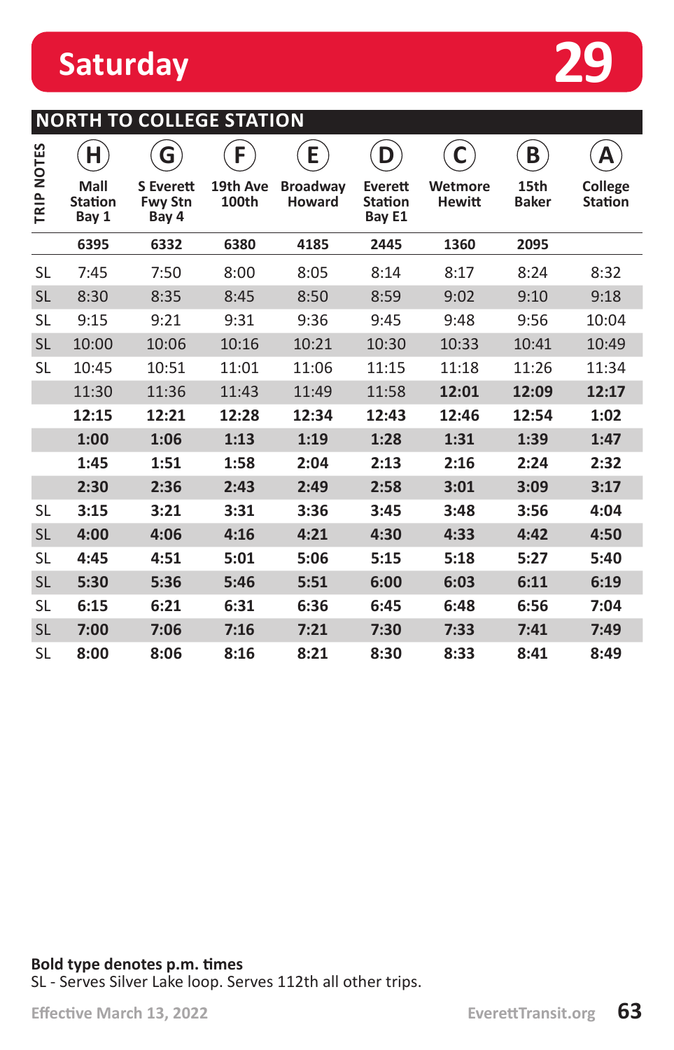

### **NORTH TO COLLEGE STATION**

|            | H                               | G                                           | F.                | E                         | D                                   | C                        | B                    | Α                         |
|------------|---------------------------------|---------------------------------------------|-------------------|---------------------------|-------------------------------------|--------------------------|----------------------|---------------------------|
| TRIP NOTES | Mall<br><b>Station</b><br>Bay 1 | <b>S</b> Everett<br><b>Fwy Stn</b><br>Bay 4 | 19th Ave<br>100th | <b>Broadway</b><br>Howard | Everett<br><b>Station</b><br>Bay E1 | Wetmore<br><b>Hewitt</b> | 15th<br><b>Baker</b> | College<br><b>Station</b> |
|            | 6395                            | 6332                                        | 6380              | 4185                      | 2445                                | 1360                     | 2095                 |                           |
| <b>SL</b>  | 7:45                            | 7:50                                        | 8:00              | 8:05                      | 8:14                                | 8:17                     | 8:24                 | 8:32                      |
| <b>SL</b>  | 8:30                            | 8:35                                        | 8:45              | 8:50                      | 8:59                                | 9:02                     | 9:10                 | 9:18                      |
| <b>SL</b>  | 9:15                            | 9:21                                        | 9:31              | 9:36                      | 9:45                                | 9:48                     | 9:56                 | 10:04                     |
| <b>SL</b>  | 10:00                           | 10:06                                       | 10:16             | 10:21                     | 10:30                               | 10:33                    | 10:41                | 10:49                     |
| <b>SL</b>  | 10:45                           | 10:51                                       | 11:01             | 11:06                     | 11:15                               | 11:18                    | 11:26                | 11:34                     |
|            | 11:30                           | 11:36                                       | 11:43             | 11:49                     | 11:58                               | 12:01                    | 12:09                | 12:17                     |
|            | 12:15                           | 12:21                                       | 12:28             | 12:34                     | 12:43                               | 12:46                    | 12:54                | 1:02                      |
|            | 1:00                            | 1:06                                        | 1:13              | 1:19                      | 1:28                                | 1:31                     | 1:39                 | 1:47                      |
|            | 1:45                            | 1:51                                        | 1:58              | 2:04                      | 2:13                                | 2:16                     | 2:24                 | 2:32                      |
|            | 2:30                            | 2:36                                        | 2:43              | 2:49                      | 2:58                                | 3:01                     | 3:09                 | 3:17                      |
| <b>SL</b>  | 3:15                            | 3:21                                        | 3:31              | 3:36                      | 3:45                                | 3:48                     | 3:56                 | 4:04                      |
| <b>SL</b>  | 4:00                            | 4:06                                        | 4:16              | 4:21                      | 4:30                                | 4:33                     | 4:42                 | 4:50                      |
| <b>SL</b>  | 4:45                            | 4:51                                        | 5:01              | 5:06                      | 5:15                                | 5:18                     | 5:27                 | 5:40                      |
| <b>SL</b>  | 5:30                            | 5:36                                        | 5:46              | 5:51                      | 6:00                                | 6:03                     | 6:11                 | 6:19                      |
| <b>SL</b>  | 6:15                            | 6:21                                        | 6:31              | 6:36                      | 6:45                                | 6:48                     | 6:56                 | 7:04                      |
| <b>SL</b>  | 7:00                            | 7:06                                        | 7:16              | 7:21                      | 7:30                                | 7:33                     | 7:41                 | 7:49                      |
| SL         | 8:00                            | 8:06                                        | 8:16              | 8:21                      | 8:30                                | 8:33                     | 8:41                 | 8:49                      |

**Bold type denotes p.m. times**  SL - Serves Silver Lake loop. Serves 112th all other trips.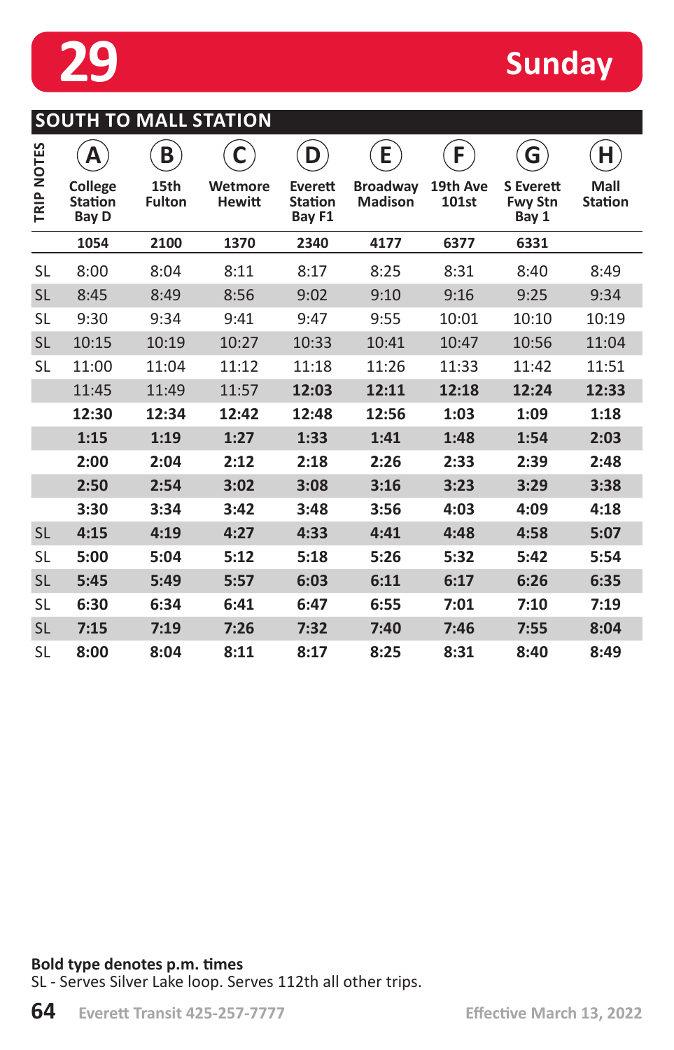

## **Sunday**

| <b>SOUTH TO MALL STATION</b> |
|------------------------------|
|------------------------------|

|            | Α                                         | B                     |                          | D                                   | E                                 | F                 | G                                           | Н                      |
|------------|-------------------------------------------|-----------------------|--------------------------|-------------------------------------|-----------------------------------|-------------------|---------------------------------------------|------------------------|
| TRIP NOTES | College<br><b>Station</b><br><b>Bay D</b> | 15th<br><b>Fulton</b> | Wetmore<br><b>Hewitt</b> | Everett<br><b>Station</b><br>Bay F1 | <b>Broadway</b><br><b>Madison</b> | 19th Ave<br>101st | <b>S</b> Everett<br><b>Fwy Stn</b><br>Bay 1 | Mall<br><b>Station</b> |
|            | 1054                                      | 2100                  | 1370                     | 2340                                | 4177                              | 6377              | 6331                                        |                        |
| <b>SL</b>  | 8:00                                      | 8:04                  | 8:11                     | 8:17                                | 8:25                              | 8:31              | 8:40                                        | 8:49                   |
| <b>SL</b>  | 8:45                                      | 8:49                  | 8:56                     | 9:02                                | 9:10                              | 9:16              | 9:25                                        | 9:34                   |
| SL         | 9:30                                      | 9:34                  | 9:41                     | 9:47                                | 9:55                              | 10:01             | 10:10                                       | 10:19                  |
| <b>SL</b>  | 10:15                                     | 10:19                 | 10:27                    | 10:33                               | 10:41                             | 10:47             | 10:56                                       | 11:04                  |
| <b>SL</b>  | 11:00                                     | 11:04                 | 11:12                    | 11:18                               | 11:26                             | 11:33             | 11:42                                       | 11:51                  |
|            | 11:45                                     | 11:49                 | 11:57                    | 12:03                               | 12:11                             | 12:18             | 12:24                                       | 12:33                  |
|            | 12:30                                     | 12:34                 | 12:42                    | 12:48                               | 12:56                             | 1:03              | 1:09                                        | 1:18                   |
|            | 1:15                                      | 1:19                  | 1:27                     | 1:33                                | 1:41                              | 1:48              | 1:54                                        | 2:03                   |
|            | 2:00                                      | 2:04                  | 2:12                     | 2:18                                | 2:26                              | 2:33              | 2:39                                        | 2:48                   |
|            | 2:50                                      | 2:54                  | 3:02                     | 3:08                                | 3:16                              | 3:23              | 3:29                                        | 3:38                   |
|            | 3:30                                      | 3:34                  | 3:42                     | 3:48                                | 3:56                              | 4:03              | 4:09                                        | 4:18                   |
| <b>SL</b>  | 4:15                                      | 4:19                  | 4:27                     | 4:33                                | 4:41                              | 4:48              | 4:58                                        | 5:07                   |
| <b>SL</b>  | 5:00                                      | 5:04                  | 5:12                     | 5:18                                | 5:26                              | 5:32              | 5:42                                        | 5:54                   |
| <b>SL</b>  | 5:45                                      | 5:49                  | 5:57                     | 6:03                                | 6:11                              | 6:17              | 6:26                                        | 6:35                   |
| SL         | 6:30                                      | 6:34                  | 6:41                     | 6:47                                | 6:55                              | 7:01              | 7:10                                        | 7:19                   |
| <b>SL</b>  | 7:15                                      | 7:19                  | 7:26                     | 7:32                                | 7:40                              | 7:46              | 7:55                                        | 8:04                   |
| SL         | 8:00                                      | 8:04                  | 8:11                     | 8:17                                | 8:25                              | 8:31              | 8:40                                        | 8:49                   |

#### **Bold type denotes p.m. times**